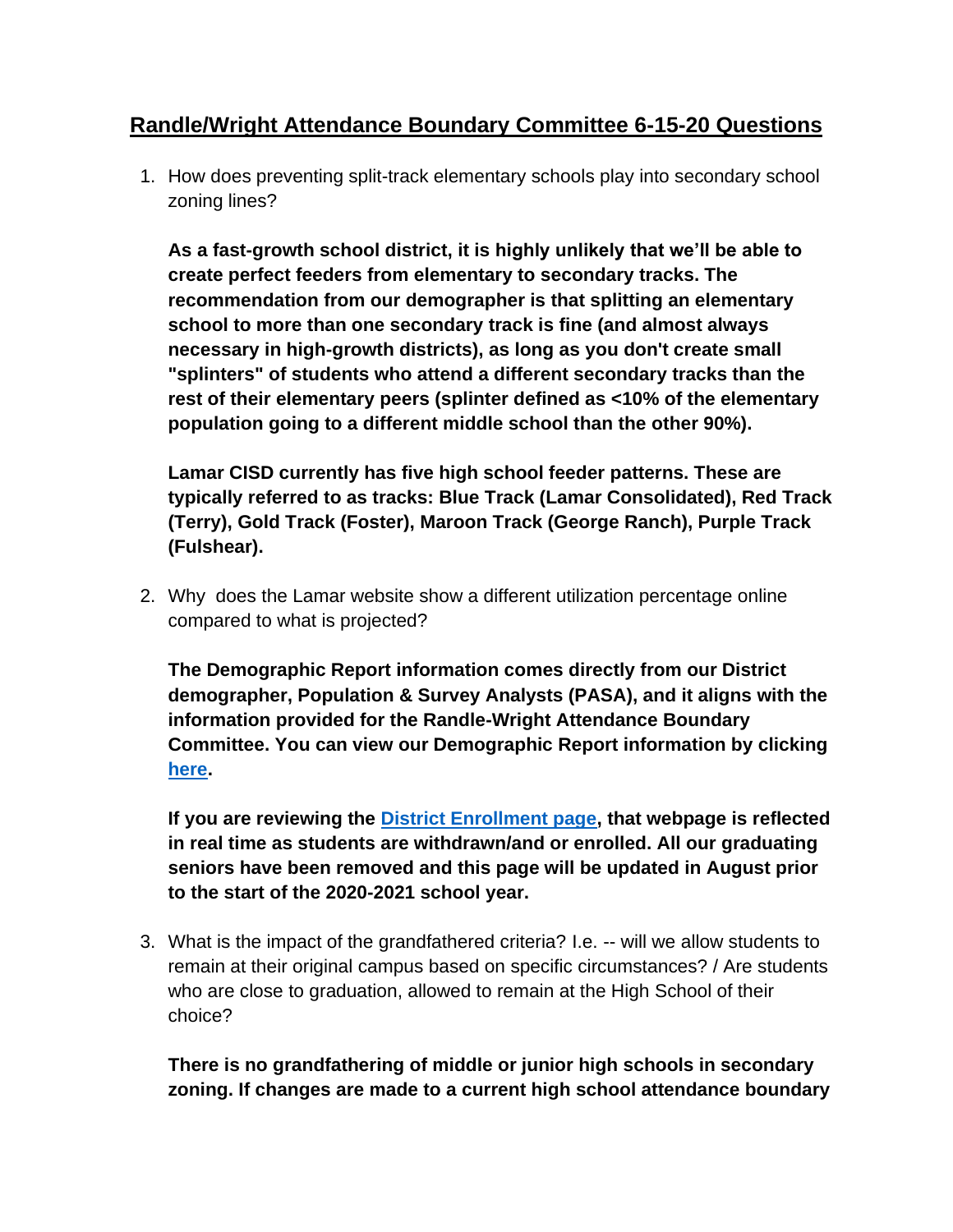## **Randle/Wright Attendance Boundary Committee 6-15-20 Questions**

1. How does preventing split-track elementary schools play into secondary school zoning lines?

**As a fast-growth school district, it is highly unlikely that we'll be able to create perfect feeders from elementary to secondary tracks. The recommendation from our demographer is that splitting an elementary school to more than one secondary track is fine (and almost always necessary in high-growth districts), as long as you don't create small "splinters" of students who attend a different secondary tracks than the rest of their elementary peers (splinter defined as <10% of the elementary population going to a different middle school than the other 90%).** 

**Lamar CISD currently has five high school feeder patterns. These are typically referred to as tracks: Blue Track (Lamar Consolidated), Red Track (Terry), Gold Track (Foster), Maroon Track (George Ranch), Purple Track (Fulshear).** 

2. Why does the Lamar website show a different utilization percentage online compared to what is projected?

**The Demographic Report information comes directly from our District demographer, Population & Survey Analysts (PASA), and it aligns with the information provided for the Randle-Wright Attendance Boundary Committee. You can view our Demographic Report information by clicking [here.](https://www.lcisd.org/about/demographics-reports)**

**If you are reviewing the [District Enrollment page,](https://www.lcisd.org/about/district-enrollment-data) that webpage is reflected in real time as students are withdrawn/and or enrolled. All our graduating seniors have been removed and this page will be updated in August prior to the start of the 2020-2021 school year.**

3. What is the impact of the grandfathered criteria? I.e. -- will we allow students to remain at their original campus based on specific circumstances? / Are students who are close to graduation, allowed to remain at the High School of their choice?

**There is no grandfathering of middle or junior high schools in secondary zoning. If changes are made to a current high school attendance boundary**